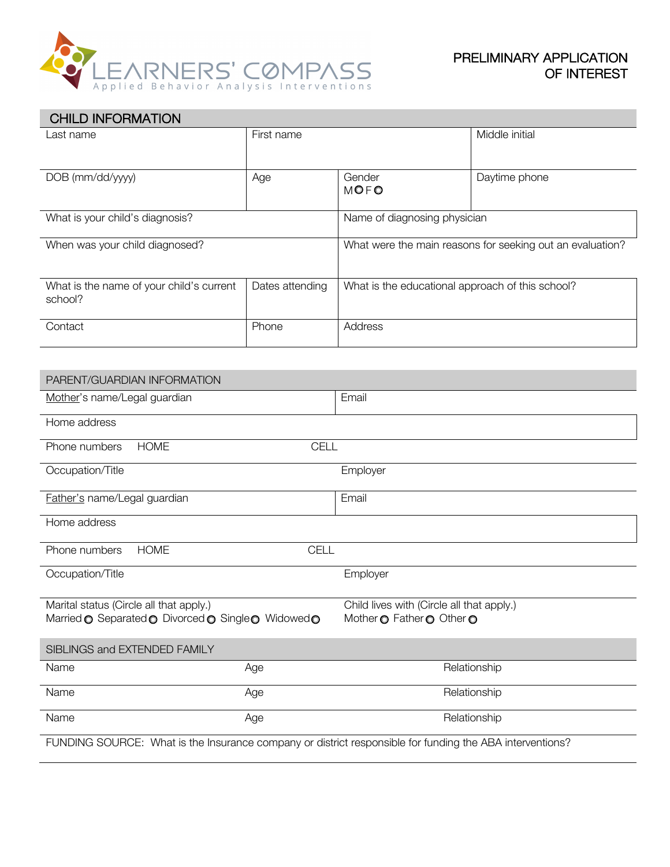

| <b>CHILD INFORMATION</b>                                                                                 |                     |                                                                        |                |
|----------------------------------------------------------------------------------------------------------|---------------------|------------------------------------------------------------------------|----------------|
| Last name                                                                                                | First name          |                                                                        | Middle initial |
| DOB (mm/dd/yyyy)                                                                                         | Age                 | Gender<br><b>MOFO</b>                                                  | Daytime phone  |
| What is your child's diagnosis?                                                                          |                     | Name of diagnosing physician                                           |                |
| When was your child diagnosed?                                                                           |                     | What were the main reasons for seeking out an evaluation?              |                |
| What is the name of your child's current<br>school?                                                      | Dates attending     | What is the educational approach of this school?                       |                |
| Contact                                                                                                  | Phone               | Address                                                                |                |
|                                                                                                          |                     |                                                                        |                |
| PARENT/GUARDIAN INFORMATION                                                                              |                     |                                                                        |                |
| Mother's name/Legal guardian                                                                             |                     | Email                                                                  |                |
| Home address                                                                                             |                     |                                                                        |                |
| <b>HOME</b><br>CELL<br>Phone numbers                                                                     |                     |                                                                        |                |
| Occupation/Title                                                                                         |                     | Employer                                                               |                |
| Father's name/Legal guardian                                                                             |                     | Email                                                                  |                |
| Home address                                                                                             |                     |                                                                        |                |
| <b>HOME</b><br><b>CELL</b><br>Phone numbers                                                              |                     |                                                                        |                |
| Occupation/Title                                                                                         |                     | Employer                                                               |                |
| Marital status (Circle all that apply.)<br>Married O Separated O Divorced O Single O Widowed O           |                     | Child lives with (Circle all that apply.)<br>Mother O Father O Other O |                |
| SIBLINGS and EXTENDED FAMILY                                                                             |                     |                                                                        |                |
| Name                                                                                                     | Age                 | Relationship                                                           |                |
| Name                                                                                                     | Age                 | Relationship                                                           |                |
| Name                                                                                                     | Relationship<br>Age |                                                                        |                |
| FUNDING SOURCE: What is the Insurance company or district responsible for funding the ABA interventions? |                     |                                                                        |                |